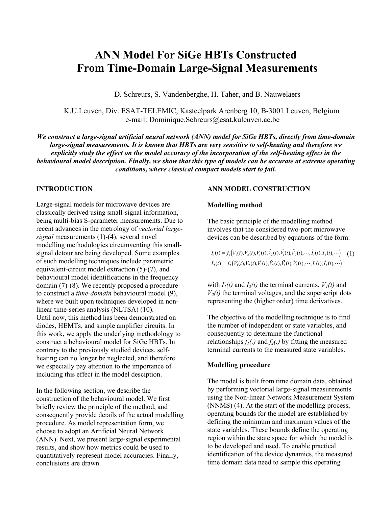# **ANN Model For SiGe HBTs Constructed From Time-Domain Large-Signal Measurements**

D. Schreurs, S. Vandenberghe, H. Taher, and B. Nauwelaers

K.U.Leuven, Div. ESAT-TELEMIC, Kasteelpark Arenberg 10, B-3001 Leuven, Belgium e-mail: Dominique.Schreurs@esat.kuleuven.ac.be

*We construct a large-signal artificial neural network (ANN) model for SiGe HBTs, directly from time-domain large-signal measurements. It is known that HBTs are very sensitive to self-heating and therefore we explicitly study the effect on the model accuracy of the incorporation of the self-heating effect in the behavioural model description. Finally, we show that this type of models can be accurate at extreme operating conditions, where classical compact models start to fail.* 

# **INTRODUCTION**

Large-signal models for microwave devices are classically derived using small-signal information, being multi-bias S-parameter measurements. Due to recent advances in the metrology of *vectorial largesignal* measurements (1)-(4), several novel modelling methodologies circumventing this smallsignal detour are being developed. Some examples of such modelling techniques include parametric equivalent-circuit model extraction (5)-(7), and behavioural model identifications in the frequency domain (7)-(8). We recently proposed a procedure to construct a *time-domain* behavioural model (9), where we built upon techniques developed in nonlinear time-series analysis (NLTSA) (10). Until now, this method has been demonstrated on diodes, HEMTs, and simple amplifier circuits. In this work, we apply the underlying methodology to construct a behavioural model for SiGe HBTs. In contrary to the previously studied devices, selfheating can no longer be neglected, and therefore we especially pay attention to the importance of including this effect in the model desciption.

In the following section, we describe the construction of the behavioural model. We first briefly review the principle of the method, and consequently provide details of the actual modelling procedure. As model representation form, we choose to adopt an Artificial Neural Network (ANN). Next, we present large-signal experimental results, and show how metrics could be used to quantitatively represent model accuracies. Finally, conclusions are drawn.

#### **ANN MODEL CONSTRUCTION**

#### **Modelling method**

The basic principle of the modelling method involves that the considered two-port microwave devices can be described by equations of the form:

$$
I_1(t) = f_1\Big(V_1(t), V_2(t), V_1(t), V_2(t), V_1(t), V_2(t), \cdots, I_1(t), I_2(t), \cdots\Big) \quad (1)
$$
  

$$
I_2(t) = f_2\Big(V_1(t), V_2(t), V_1(t), V_2(t), V_1(t), V_2(t), \cdots, I_1(t), I_2(t), \cdots\Big)
$$

with  $I_1(t)$  and  $I_2(t)$  the terminal currents,  $V_1(t)$  and  $V_2(t)$  the terminal voltages, and the superscript dots representing the (higher order) time derivatives.

The objective of the modelling technique is to find the number of independent or state variables, and consequently to determine the functional relationships  $f_1(.)$  and  $f_2(.)$  by fitting the measured terminal currents to the measured state variables.

#### **Modelling procedure**

The model is built from time domain data, obtained by performing vectorial large-signal measurements using the Non-linear Network Measurement System (NNMS) (4). At the start of the modelling process, operating bounds for the model are established by defining the minimum and maximum values of the state variables. These bounds define the operating region within the state space for which the model is to be developed and used. To enable practical identification of the device dynamics, the measured time domain data need to sample this operating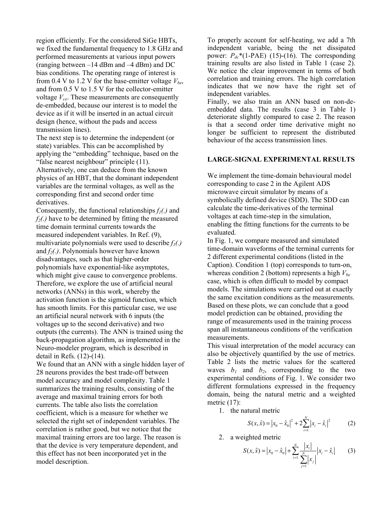region efficiently. For the considered SiGe HBTs, we fixed the fundamental frequency to 1.8 GHz and performed measurements at various input powers (ranging between –14 dBm and –4 dBm) and DC bias conditions. The operating range of interest is from 0.4 V to 1.2 V for the base-emitter voltage  $V_{be}$ , and from 0.5 V to 1.5 V for the collector-emitter voltage *Vce*. These measurements are consequently de-embedded, because our interest is to model the device as if it will be inserted in an actual circuit design (hence, without the pads and access transmission lines).

The next step is to determine the independent (or state) variables. This can be accomplished by applying the "embedding" technique, based on the "false nearest neighbour" principle (11). Alternatively, one can deduce from the known physics of an HBT, that the dominant independent variables are the terminal voltages, as well as the corresponding first and second order time derivatives.

Consequently, the functional relationships  $f_1(.)$  and  $f_2(.)$  have to be determined by fitting the measured time domain terminal currents towards the measured independent variables. In Ref. (9), multivariate polynomials were used to describe  $f_1(.)$ and  $f_2(.)$ . Polynomials however have known disadvantages, such as that higher-order polynomials have exponential-like asymptotes, which might give cause to convergence problems. Therefore, we explore the use of artificial neural networks (ANNs) in this work, whereby the activation function is the sigmoid function, which has smooth limits. For this particular case, we use an artificial neural network with 6 inputs (the voltages up to the second derivative) and two outputs (the currents). The ANN is trained using the back-propagation algorithm, as implemented in the Neuro-modeler program, which is described in detail in Refs. (12)-(14).

We found that an ANN with a single hidden layer of 28 neurons provides the best trade-off between model accuracy and model complexity. Table 1 summarizes the training results, consisting of the average and maximal training errors for both currents. The table also lists the correlation coefficient, which is a measure for whether we selected the right set of independent variables. The correlation is rather good, but we notice that the maximal training errors are too large. The reason is that the device is very temperature dependent, and this effect has not been incorporated yet in the model description.

To properly account for self-heating, we add a 7th independent variable, being the net dissipated power:  $P_{dc}$ <sup>\*</sup>(1-PAE) (15)-(16). The corresponding training results are also listed in Table 1 (case 2). We notice the clear improvement in terms of both correlation and training errors. The high correlation indicates that we now have the right set of independent variables.

Finally, we also train an ANN based on non-deembedded data. The results (case 3 in Table 1) deteriorate slightly compared to case 2. The reason is that a second order time derivative might no longer be sufficient to represent the distributed behaviour of the access transmission lines.

## **LARGE-SIGNAL EXPERIMENTAL RESULTS**

We implement the time-domain behavioural model corresponding to case 2 in the Agilent ADS microwave circuit simulator by means of a symbolically defined device (SDD). The SDD can calculate the time-derivatives of the terminal voltages at each time-step in the simulation, enabling the fitting functions for the currents to be evaluated.

In Fig. 1, we compare measured and simulated time-domain waveforms of the terminal currents for 2 different experimental conditions (listed in the Caption). Condition 1 (top) corresponds to turn-on, whereas condition 2 (bottom) represents a high  $V_{be}$ case, which is often difficult to model by compact models. The simulations were carried out at exactly the same excitation conditions as the measurements. Based on these plots, we can conclude that a good model prediction can be obtained, providing the range of measurements used in the training process span all instantaneous conditions of the verification measurements.

This visual interpretation of the model accuracy can also be objectively quantified by the use of metrics. Table 2 lists the metric values for the scattered waves  $b_1$  and  $b_2$ , corresponding to the two experimental conditions of Fig. 1. We consider two different formulations expressed in the frequency domain, being the natural metric and a weighted metric  $(17)$ :

1. the natural metric

$$
S(x, \hat{x}) = |x_0 - \hat{x}_0|^2 + 2\sum_{i=1}^{N} |x_i - \hat{x}_i|^2
$$
 (2)

2. a weighted metric

$$
S(x,\hat{x}) = |x_0 - \hat{x}_0| + \sum_{i=1}^{N} \frac{|x_i|}{\sum_{j=1}^{N} |x_j|} |x_i - \hat{x}_i|
$$
 (3)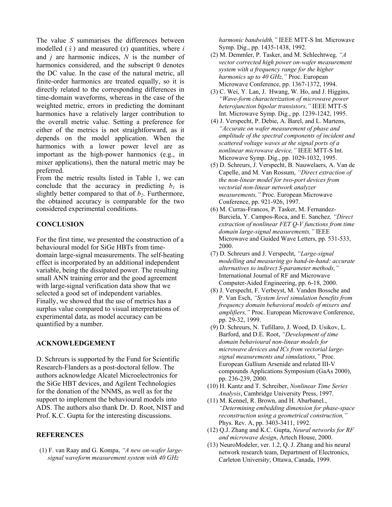The value *S* summarises the differences between modelled  $(\hat{x})$  and measured  $(x)$  quantities, where *i* and *j* are harmonic indices, *N* is the number of harmonics considered, and the subscript 0 denotes the DC value. In the case of the natural metric, all finite-order harmonics are treated equally, so it is directly related to the corresponding differences in time-domain waveforms, whereas in the case of the weighted metric, errors in predicting the dominant harmonics have a relatively larger contribution to the overall metric value. Setting a preference for either of the metrics is not straightforward, as it depends on the model application. When the harmonics with a lower power level are as important as the high-power harmonics (e.g., in mixer applications), then the natural metric may be preferred.

From the metric results listed in Table 1, we can conclude that the accuracy in predicting  $b_1$  is slightly better compared to that of  $b_2$ . Furthermore, the obtained accuracy is comparable for the two considered experimental conditions.

## **CONCLUSION**

For the first time, we presented the construction of a behavioural model for SiGe HBTs from timedomain large-signal measurements. The self-heating effect is incorporated by an additional independent variable, being the dissipated power. The resulting small ANN training error and the good agreement with large-signal verification data show that we selected a good set of independent variables. Finally, we showed that the use of metrics has a surplus value compared to visual interpretations of experimental data, as model accuracy can be quantified by a number.

#### **ACKNOWLEDGEMENT**

D. Schreurs is supported by the Fund for Scientific Research-Flanders as a post-doctoral fellow. The authors acknowledge Alcatel Microelectronics for the SiGe HBT devices, and Agilent Technologies for the donation of the NNMS, as well as for the support to implement the behavioural models into ADS. The authors also thank Dr. D. Root, NIST and Prof. K.C. Gupta for the interesting discussions.

## **REFERENCES**

 (1) F. van Raay and G. Kompa, *"A new on-wafer largesignal waveform measurement system with 40 GHz*

*harmonic bandwidth,"* IEEE MTT-S Int. Microwave Symp. Dig., pp. 1435-1438, 1992.

- (2) M. Demmler, P. Tasker, and M. Schlechtweg*, "A vector corrected high power on-wafer measurement system with a frequency range for the higher harmonics up to 40 GHz,"* Proc. European Microwave Conference, pp. 1367-1372, 1994.
- (3) C. Wei, Y. Lan, J. Hwang, W. Ho, and J. Higgins, *"Wave-form characterization of microwave power heterojunction bipolar transistors,"* IEEE MTT-S Int. Microwave Symp. Dig., pp. 1239-1242, 1995.
- (4) J. Verspecht, P. Debie, A. Barel, and L. Martens, *"Accurate on wafer measurement of phase and amplitude of the spectral components of incident and scattered voltage waves at the signal ports of a nonlinear microwave device,"* IEEE MTT-S Int. Microwave Symp. Dig., pp. 1029-1032, 1995.
- (5) D. Schreurs, J. Verspecht, B. Nauwelaers, A. Van de Capelle, and M. Van Rossum, *"Direct extraction of the non-linear model for two-port devices from vectorial non-linear network analyzer measurements,"* Proc. European Microwave Conference, pp. 921-926, 1997.
- (6) M. Curras-Francos, P. Tasker, M. Fernandez-Barciela, Y. Campos-Roca, and E. Sanchez*, "Direct extraction of nonlinear FET Q-V functions from time domain large-signal measurements,"* IEEE Microwave and Guided Wave Letters, pp. 531-533, 2000.
- (7) D. Schreurs and J. Verspecht, *"Large-signal modelling and measuring go hand-in-hand: accurate alternatives to indirect S-parameter methods,"* International Journal of RF and Microwave Computer-Aided Engineering, pp. 6-18, 2000.
- (8) J. Verspecht, F. Verbeyst, M. Vanden Bossche and P. Van Esch, *"System level simulation benefits from frequency domain behavioral models of mixers and amplifiers,"* Proc. European Microwave Conference, pp. 29-32, 1999.
- (9) D. Schreurs, N. Tufillaro, J. Wood, D. Usikov, L. Barford, and D.E. Root, *"Development of time domain behavioural non-linear models for microwave devices and ICs from vectorial largesignal measurements and simulations,"* Proc. European Gallium Arsenide and related III-V compounds Applications Symposium (GaAs 2000), pp. 236-239, 2000.
- (10) H. Kantz and T. Schreiber, *Nonlinear Time Series Analysis*, Cambridge University Press, 1997.
- (11) M. Kennel, R. Brown, and H. Abarbanel*.*, *"Determining embedding dimension for phase-space reconstruction using a geometrical construction,"*  Phys. Rev. A, pp. 3403-3411, 1992.
- (12) Q.J. Zhang and K.C. Gupta, *Neural networks for RF and microwave design*, Artech House, 2000.
- (13) NeuroModeler, ver. 1.2, Q. J. Zhang and his neural network research team, Department of Electronics, Carleton University, Ottawa, Canada, 1999.